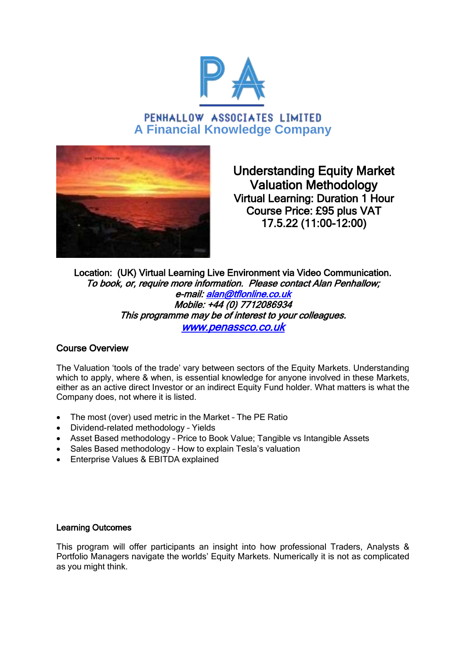

PENHALLOW ASSOCIATES LIMITED **A Financial Knowledge Company**



Understanding Equity Market Valuation Methodology Virtual Learning: Duration 1 Hour Course Price: £95 plus VAT 17.5.22 (11:00-12:00)

Location: (UK) Virtual Learning Live Environment via Video Communication. To book, or, require more information. Please contact Alan Penhallow; e-mail: [alan@tflonline.co.uk](mailto:alan@tflonline.co.uk)  Mobile: +44 (0) 7712086934 This programme may be of interest to your colleagues. [www.penassco.co.uk](http://www.penassco.co.uk/)

## Course Overview

The Valuation 'tools of the trade' vary between sectors of the Equity Markets. Understanding which to apply, where & when, is essential knowledge for anyone involved in these Markets, either as an active direct Investor or an indirect Equity Fund holder. What matters is what the Company does, not where it is listed.

- The most (over) used metric in the Market The PE Ratio
- Dividend-related methodology Yields
- Asset Based methodology Price to Book Value; Tangible vs Intangible Assets
- Sales Based methodology How to explain Tesla's valuation
- Enterprise Values & EBITDA explained

## Learning Outcomes

This program will offer participants an insight into how professional Traders, Analysts & Portfolio Managers navigate the worlds' Equity Markets. Numerically it is not as complicated as you might think.